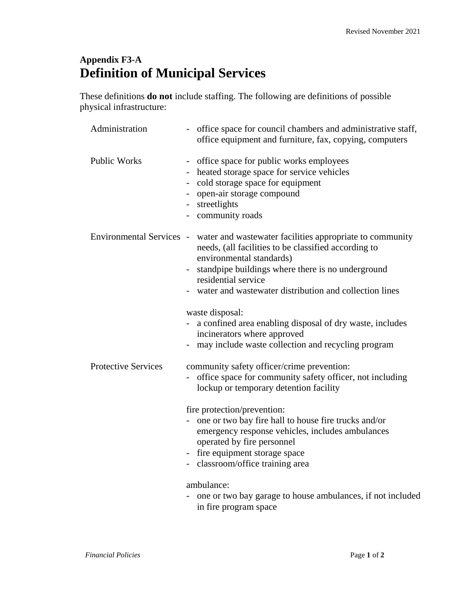## **Appendix F3-A Definition of Municipal Services**

These definitions **do not** include staffing. The following are definitions of possible physical infrastructure:

| Administration             | office space for council chambers and administrative staff,<br>office equipment and furniture, fax, copying, computers                                                                                                                                                                                                                                                                                                                                                          |
|----------------------------|---------------------------------------------------------------------------------------------------------------------------------------------------------------------------------------------------------------------------------------------------------------------------------------------------------------------------------------------------------------------------------------------------------------------------------------------------------------------------------|
| <b>Public Works</b>        | office space for public works employees<br>heated storage space for service vehicles<br>cold storage space for equipment<br>open-air storage compound<br>- streetlights<br>- community roads                                                                                                                                                                                                                                                                                    |
|                            | Environmental Services - water and wastewater facilities appropriate to community<br>needs, (all facilities to be classified according to<br>environmental standards)<br>standpipe buildings where there is no underground<br>residential service<br>water and wastewater distribution and collection lines<br>waste disposal:<br>a confined area enabling disposal of dry waste, includes<br>incinerators where approved<br>may include waste collection and recycling program |
| <b>Protective Services</b> | community safety officer/crime prevention:<br>office space for community safety officer, not including<br>lockup or temporary detention facility<br>fire protection/prevention:<br>- one or two bay fire hall to house fire trucks and/or<br>emergency response vehicles, includes ambulances<br>operated by fire personnel<br>fire equipment storage space<br>classroom/office training area<br>ambulance:<br>- one or two bay garage to house ambulances, if not included     |
|                            |                                                                                                                                                                                                                                                                                                                                                                                                                                                                                 |

in fire program space